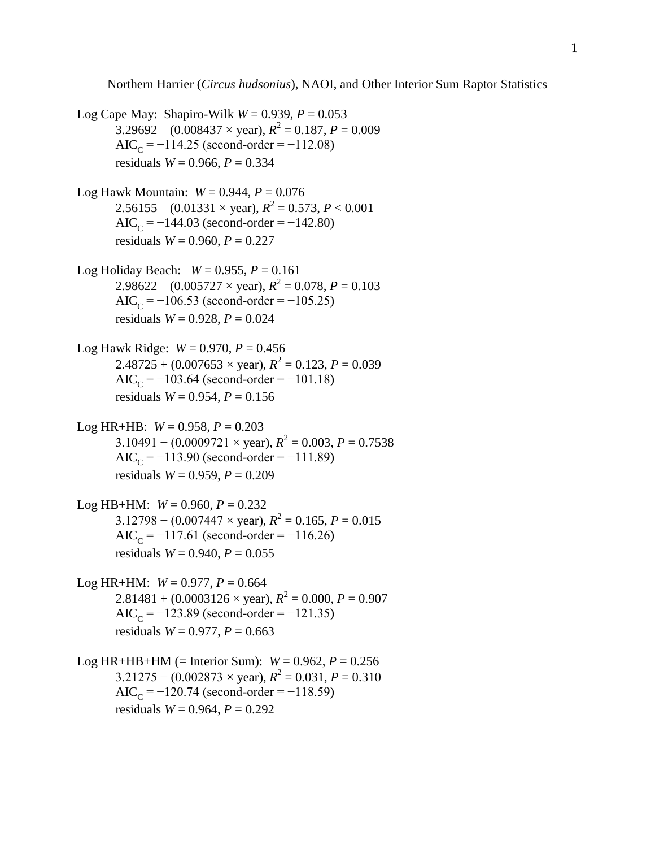Northern Harrier (*Circus hudsonius*), NAOI, and Other Interior Sum Raptor Statistics

Log Cape May: Shapiro-Wilk  $W = 0.939$ ,  $P = 0.053$  $3.29692 - (0.008437 \times \text{year})$ ,  $R^2 = 0.187$ ,  $P = 0.009$  $AIC_C = -114.25$  (second-order =  $-112.08$ ) residuals  $W = 0.966$ ,  $P = 0.334$ 

Log Hawk Mountain:  $W = 0.944$ ,  $P = 0.076$  $2.56155 - (0.01331 \times \text{year})$ ,  $R^2 = 0.573$ ,  $P < 0.001$ AIC<sub>C</sub> =  $-144.03$  (second-order =  $-142.80$ ) residuals *W* = 0.960, *P* = 0.227

- Log Holiday Beach:  $W = 0.955$ ,  $P = 0.161$  $2.98622 - (0.005727 \times \text{year})$ ,  $R^2 = 0.078$ ,  $P = 0.103$ AIC<sub>C</sub> =  $-106.53$  (second-order =  $-105.25$ ) residuals  $W = 0.928$ ,  $P = 0.024$
- Log Hawk Ridge:  $W = 0.970$ ,  $P = 0.456$  $2.48725 + (0.007653 \times \text{year})$ ,  $R^2 = 0.123$ ,  $P = 0.039$  $AIC_C = -103.64$  (second-order = -101.18) residuals  $W = 0.954$ ,  $P = 0.156$
- Log HR+HB:  $W = 0.958$ ,  $P = 0.203$  $3.10491 - (0.0009721 \times \text{year})$ ,  $R^2 = 0.003$ ,  $P = 0.7538$  $AIC_C = -113.90$  (second-order = -111.89) residuals  $W = 0.959$ ,  $P = 0.209$
- Log HB+HM:  $W = 0.960$ ,  $P = 0.232$  $3.12798 - (0.007447 \times \text{year})$ ,  $R^2 = 0.165$ ,  $P = 0.015$ AIC<sub>C</sub> =  $-117.61$  (second-order =  $-116.26$ ) residuals  $W = 0.940$ ,  $P = 0.055$
- Log HR+HM:  $W = 0.977$ ,  $P = 0.664$  $2.81481 + (0.0003126 \times \text{year})$ ,  $R^2 = 0.000$ ,  $P = 0.907$ AIC<sub>C</sub> =  $-123.89$  (second-order =  $-121.35$ ) residuals  $W = 0.977$ ,  $P = 0.663$
- Log HR+HB+HM (= Interior Sum):  $W = 0.962$ ,  $P = 0.256$  $3.21275 - (0.002873 \times \text{year})$ ,  $R^2 = 0.031$ ,  $P = 0.310$ AIC<sub>C</sub> =  $-120.74$  (second-order =  $-118.59$ ) residuals  $W = 0.964$ ,  $P = 0.292$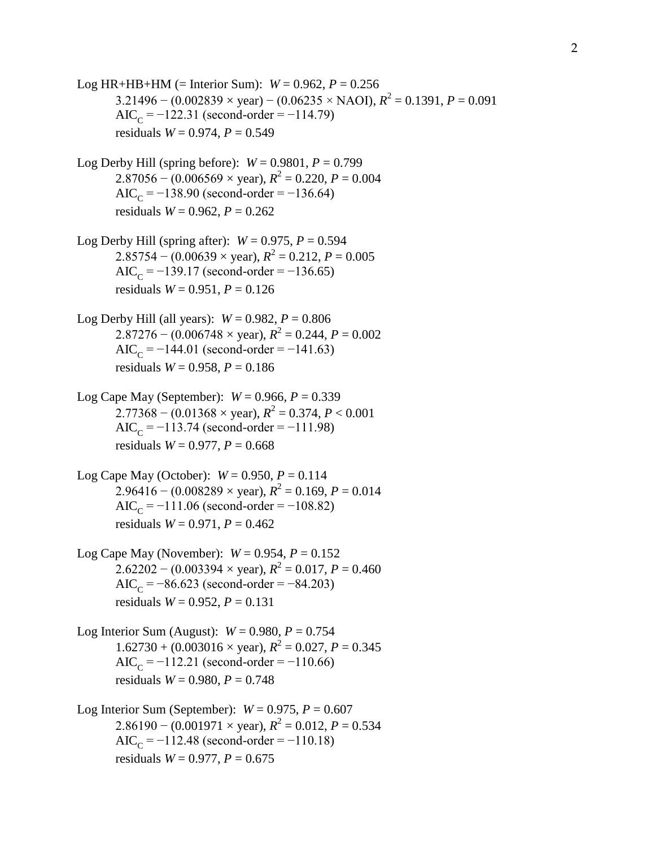Log HR+HB+HM (= Interior Sum):  $W = 0.962$ ,  $P = 0.256$  $3.21496 - (0.002839 \times \text{year}) - (0.06235 \times \text{NAOI})$ ,  $R^2 = 0.1391$ ,  $P = 0.091$ AIC<sub>C</sub> =  $-122.31$  (second-order =  $-114.79$ ) residuals  $W = 0.974$ ,  $P = 0.549$ Log Derby Hill (spring before):  $W = 0.9801$ ,  $P = 0.799$  $2.87056 - (0.006569 \times \text{year})$ ,  $R^2 = 0.220$ ,  $P = 0.004$ AIC<sub>C</sub> =  $-138.90$  (second-order =  $-136.64$ ) residuals  $W = 0.962$ ,  $P = 0.262$ Log Derby Hill (spring after):  $W = 0.975$ ,  $P = 0.594$  $2.85754 - (0.00639 \times \text{year})$ ,  $R^2 = 0.212$ ,  $P = 0.005$ AIC<sub>C</sub> =  $-139.17$  (second-order =  $-136.65$ ) residuals *W* = 0.951, *P* = 0.126 Log Derby Hill (all years):  $W = 0.982$ ,  $P = 0.806$  $2.87276 - (0.006748 \times \text{year})$ ,  $R^2 = 0.244$ ,  $P = 0.002$ AIC<sub>C</sub> =  $-144.01$  (second-order =  $-141.63$ ) residuals  $W = 0.958$ ,  $P = 0.186$ Log Cape May (September):  $W = 0.966$ ,  $P = 0.339$  $2.77368 - (0.01368 \times \text{year})$ ,  $R^2 = 0.374$ ,  $P < 0.001$  $AIC_C = -113.74$  (second-order = -111.98) residuals  $W = 0.977$ ,  $P = 0.668$ Log Cape May (October):  $W = 0.950, P = 0.114$  $2.96416 - (0.008289 \times \text{year})$ ,  $R^2 = 0.169$ ,  $P = 0.014$  $AIC_C = -111.06$  (second-order =  $-108.82$ ) residuals  $W = 0.971$ ,  $P = 0.462$ Log Cape May (November):  $W = 0.954$ ,  $P = 0.152$  $2.62202 - (0.003394 \times \text{year})$ ,  $R^2 = 0.017$ ,  $P = 0.460$ AIC<sub>C</sub> =  $-86.623$  (second-order =  $-84.203$ ) residuals  $W = 0.952$ ,  $P = 0.131$ Log Interior Sum (August):  $W = 0.980, P = 0.754$  $1.62730 + (0.003016 \times \text{year})$ ,  $R^2 = 0.027$ ,  $P = 0.345$ AIC<sub>C</sub> =  $-112.21$  (second-order =  $-110.66$ ) residuals  $W = 0.980, P = 0.748$ Log Interior Sum (September):  $W = 0.975$ ,  $P = 0.607$  $2.86190 - (0.001971 \times \text{year})$ ,  $R^2 = 0.012$ ,  $P = 0.534$  $AIC_C = -112.48$  (second-order =  $-110.18$ ) residuals *W* = 0.977, *P* = 0.675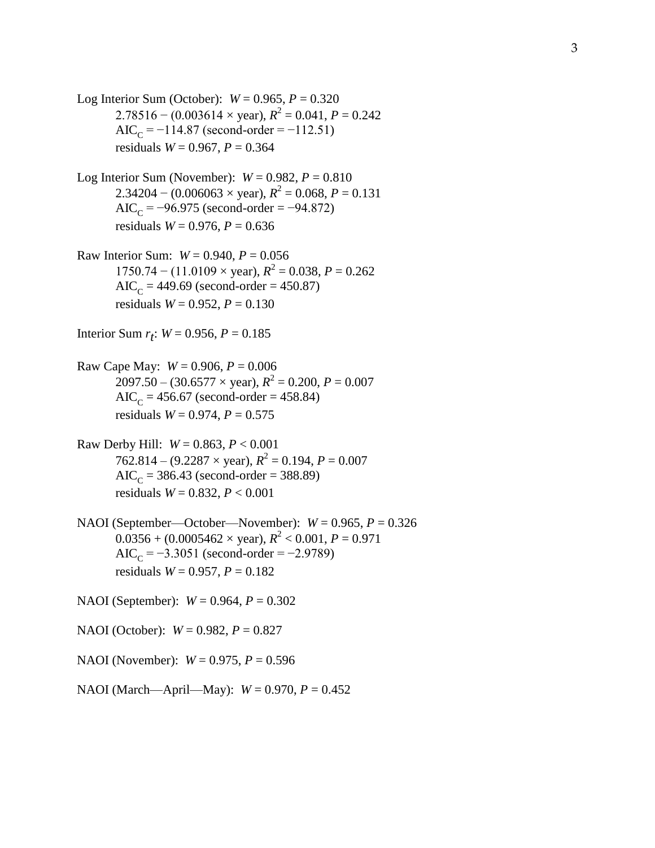Log Interior Sum (October):  $W = 0.965, P = 0.320$  $2.78516 - (0.003614 \times \text{year})$ ,  $R^2 = 0.041$ ,  $P = 0.242$ AIC<sub>C</sub> =  $-114.87$  (second-order =  $-112.51$ ) residuals  $W = 0.967$ ,  $P = 0.364$ 

- Log Interior Sum (November):  $W = 0.982$ ,  $P = 0.810$  $2.34204 - (0.006063 \times \text{year})$ ,  $R^2 = 0.068$ ,  $P = 0.131$ AIC<sub>C</sub> =  $-96.975$  (second-order =  $-94.872$ ) residuals  $W = 0.976$ ,  $P = 0.636$
- Raw Interior Sum:  $W = 0.940$ ,  $P = 0.056$  $1750.74 - (11.0109 \times \text{year})$ ,  $R^2 = 0.038$ ,  $P = 0.262$  $AIC_C = 449.69$  (second-order = 450.87) residuals  $W = 0.952$ ,  $P = 0.130$

Interior Sum  $r_t$ :  $W = 0.956, P = 0.185$ 

- Raw Cape May:  $W = 0.906$ ,  $P = 0.006$  $2097.50 - (30.6577 \times \text{year})$ ,  $R^2 = 0.200$ ,  $P = 0.007$  $AIC_C = 456.67$  (second-order = 458.84) residuals  $W = 0.974$ ,  $P = 0.575$
- Raw Derby Hill: *W* = 0.863, *P* < 0.001  $762.814 - (9.2287 \times \text{year})$ ,  $R^2 = 0.194$ ,  $P = 0.007$  $AIC_C = 386.43$  (second-order = 388.89) residuals *W* = 0.832, *P* < 0.001
- NAOI (September—October—November): *W* = 0.965, *P* = 0.326  $0.0356 + (0.0005462 \times \text{year})$ ,  $R^2 < 0.001$ ,  $P = 0.971$ AIC<sub>C</sub> =  $-3.3051$  (second-order =  $-2.9789$ ) residuals *W* = 0.957, *P* = 0.182
- NAOI (September): *W* = 0.964, *P* = 0.302
- NAOI (October): *W* = 0.982, *P* = 0.827
- NAOI (November): *W* = 0.975, *P* = 0.596
- NAOI (March—April—May): *W* = 0.970, *P* = 0.452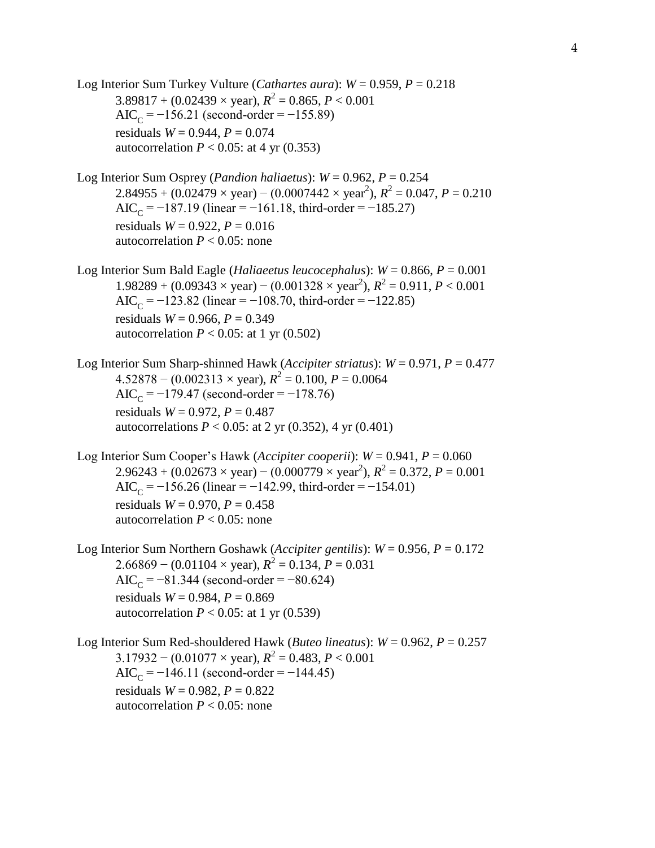Log Interior Sum Turkey Vulture (*Cathartes aura*):  $W = 0.959$ ,  $P = 0.218$  $3.89817 + (0.02439 \times \text{year})$ ,  $R^2 = 0.865$ ,  $P < 0.001$ AIC<sub>C</sub> =  $-156.21$  (second-order =  $-155.89$ ) residuals  $W = 0.944$ ,  $P = 0.074$ autocorrelation  $P < 0.05$ : at 4 yr  $(0.353)$ Log Interior Sum Osprey (*Pandion haliaetus*):  $W = 0.962$ ,  $P = 0.254$  $2.84955 + (0.02479 \times \text{year}) - (0.0007442 \times \text{year}^2), R^2 = 0.047, P = 0.210$ AIC<sub>C</sub> =  $-187.19$  (linear =  $-161.18$ , third-order =  $-185.27$ ) residuals  $W = 0.922$ ,  $P = 0.016$ autocorrelation  $P < 0.05$ : none Log Interior Sum Bald Eagle (*Haliaeetus leucocephalus*): *W* = 0.866, *P* = 0.001  $1.98289 + (0.09343 \times \text{year}) - (0.001328 \times \text{year}^2), R^2 = 0.911, P < 0.001$ AIC<sub>C</sub> =  $-123.82$  (linear =  $-108.70$ , third-order =  $-122.85$ ) residuals  $W = 0.966$ ,  $P = 0.349$ autocorrelation  $P < 0.05$ : at 1 yr (0.502) Log Interior Sum Sharp-shinned Hawk (*Accipiter striatus*): *W* = 0.971, *P* = 0.477  $4.52878 - (0.002313 \times \text{year})$ ,  $R^2 = 0.100$ ,  $P = 0.0064$ AIC<sub>C</sub> =  $-179.47$  (second-order =  $-178.76$ ) residuals  $W = 0.972$ ,  $P = 0.487$ autocorrelations  $P < 0.05$ : at 2 yr (0.352), 4 yr (0.401) Log Interior Sum Cooper's Hawk (*Accipiter cooperii*): *W* = 0.941, *P* = 0.060  $2.96243 + (0.02673 \times \text{year}) - (0.000779 \times \text{year}^2), R^2 = 0.372, P = 0.001$ AIC<sub>C</sub> =  $-156.26$  (linear =  $-142.99$ , third-order =  $-154.01$ ) residuals  $W = 0.970$ ,  $P = 0.458$ autocorrelation  $P < 0.05$ : none Log Interior Sum Northern Goshawk (*Accipiter gentilis*): *W* = 0.956, *P* = 0.172  $2.66869 - (0.01104 \times \text{year})$ ,  $R^2 = 0.134$ ,  $P = 0.031$ AIC<sub>C</sub> =  $-81.344$  (second-order =  $-80.624$ ) residuals  $W = 0.984$ ,  $P = 0.869$ autocorrelation  $P < 0.05$ : at 1 yr (0.539) Log Interior Sum Red-shouldered Hawk (*Buteo lineatus*): *W* = 0.962, *P* = 0.257  $3.17932 - (0.01077 \times \text{year})$ ,  $R^2 = 0.483$ ,  $P < 0.001$ AIC<sub>C</sub> =  $-146.11$  (second-order =  $-144.45$ ) residuals  $W = 0.982$ ,  $P = 0.822$ autocorrelation  $P < 0.05$ : none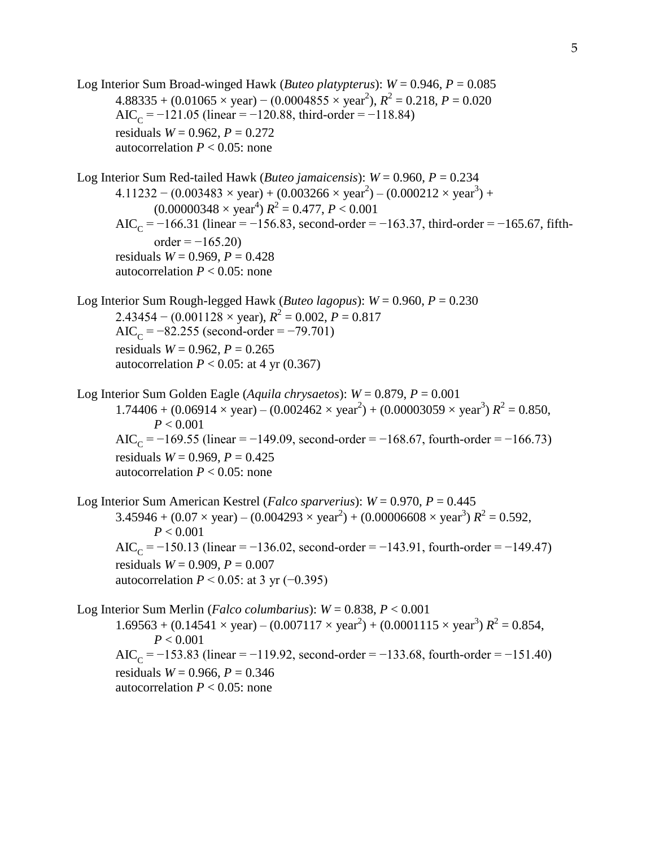Log Interior Sum Broad-winged Hawk (*Buteo platypterus*): *W* = 0.946, *P* = 0.085  $4.88335 + (0.01065 \times \text{year}) - (0.0004855 \times \text{year}^2), R^2 = 0.218, P = 0.020$ AIC<sub>C</sub> =  $-121.05$  (linear =  $-120.88$ , third-order =  $-118.84$ ) residuals  $W = 0.962$ ,  $P = 0.272$ autocorrelation  $P < 0.05$ : none Log Interior Sum Red-tailed Hawk (*Buteo jamaicensis*):  $W = 0.960$ ,  $P = 0.234$  $4.11232 - (0.003483 \times year) + (0.003266 \times year^2) - (0.000212 \times year^3) +$  $(0.00000348 \times \text{year}^4) R^2 = 0.477, P < 0.001$ AIC<sub>C</sub> =  $-166.31$  (linear =  $-156.83$ , second-order =  $-163.37$ , third-order =  $-165.67$ , fifth $order = -165.20$ residuals  $W = 0.969$ ,  $P = 0.428$ autocorrelation  $P < 0.05$ : none Log Interior Sum Rough-legged Hawk (*Buteo lagopus*):  $W = 0.960$ ,  $P = 0.230$  $2.43454 - (0.001128 \times \text{year})$ ,  $R^2 = 0.002$ ,  $P = 0.817$ AIC<sub>C</sub> =  $-82.255$  (second-order =  $-79.701$ ) residuals  $W = 0.962$ ,  $P = 0.265$ autocorrelation  $P < 0.05$ : at 4 yr (0.367) Log Interior Sum Golden Eagle (*Aquila chrysaetos*): *W* = 0.879, *P* = 0.001  $1.74406 + (0.06914 \times year) - (0.002462 \times year^2) + (0.00003059 \times year^3) R^2 = 0.850$ , *P* < 0.001 AIC<sub>C</sub> =  $-169.55$  (linear =  $-149.09$ , second-order =  $-168.67$ , fourth-order =  $-166.73$ ) residuals  $W = 0.969$ ,  $P = 0.425$ autocorrelation  $P < 0.05$ : none Log Interior Sum American Kestrel (*Falco sparverius*): *W* = 0.970, *P* = 0.445  $3.45946 + (0.07 \times \text{year}) - (0.004293 \times \text{year}^2) + (0.00006608 \times \text{year}^3) R^2 = 0.592$  $P < 0.001$ AIC<sub>C</sub> =  $-150.13$  (linear =  $-136.02$ , second-order =  $-143.91$ , fourth-order =  $-149.47$ ) residuals  $W = 0.909$ ,  $P = 0.007$ autocorrelation  $P \le 0.05$ : at 3 yr (-0.395) Log Interior Sum Merlin (*Falco columbarius*): *W* = 0.838, *P* < 0.001  $1.69563 + (0.14541 \times year) - (0.007117 \times year^2) + (0.0001115 \times year^3) R^2 = 0.854$ , *P* < 0.001 AIC<sub>C</sub> =  $-153.83$  (linear =  $-119.92$ , second-order =  $-133.68$ , fourth-order =  $-151.40$ ) residuals  $W = 0.966$ ,  $P = 0.346$ autocorrelation  $P < 0.05$ : none